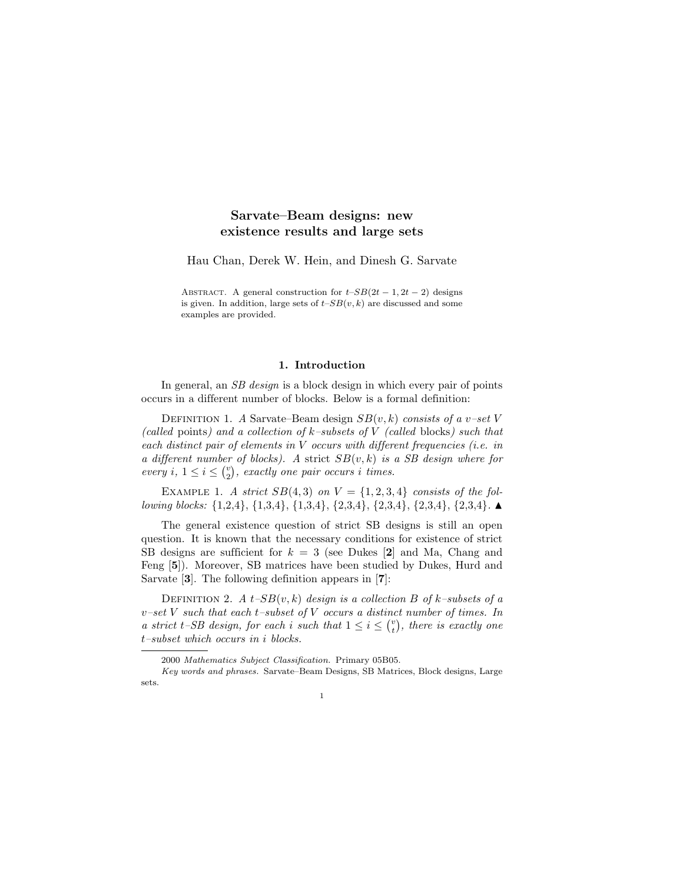# Sarvate–Beam designs: new existence results and large sets

Hau Chan, Derek W. Hein, and Dinesh G. Sarvate

ABSTRACT. A general construction for  $t-SB(2t-1, 2t-2)$  designs is given. In addition, large sets of  $t-SB(v, k)$  are discussed and some examples are provided.

### 1. Introduction

In general, an *SB design* is a block design in which every pair of points occurs in a different number of blocks. Below is a formal definition:

DEFINITION 1. A Sarvate–Beam design  $SB(v, k)$  consists of a v–set V (called points) and a collection of  $k$ –subsets of V (called blocks) such that each distinct pair of elements in V occurs with different frequencies (i.e. in a different number of blocks). A strict  $SB(v, k)$  is a SB design where for every i,  $1 \leq i \leq {v \choose 2}$ , exactly one pair occurs i times.

EXAMPLE 1. A strict  $SB(4,3)$  on  $V = \{1,2,3,4\}$  consists of the following blocks:  $\{1,2,4\}, \{1,3,4\}, \{1,3,4\}, \{2,3,4\}, \{2,3,4\}, \{2,3,4\}, \{2,3,4\}.$ 

The general existence question of strict SB designs is still an open question. It is known that the necessary conditions for existence of strict SB designs are sufficient for  $k = 3$  (see Dukes [2] and Ma, Chang and Feng [5]). Moreover, SB matrices have been studied by Dukes, Hurd and Sarvate [3]. The following definition appears in [7]:

DEFINITION 2. A  $t$ -SB $(v, k)$  design is a collection B of k–subsets of a  $v$ -set V such that each t-subset of V occurs a distinct number of times. In a strict t-SB design, for each i such that  $1 \leq i \leq {v \choose t}$ , there is exactly one t–subset which occurs in i blocks.

<sup>2000</sup> Mathematics Subject Classification. Primary 05B05.

Key words and phrases. Sarvate–Beam Designs, SB Matrices, Block designs, Large sets.

<sup>1</sup>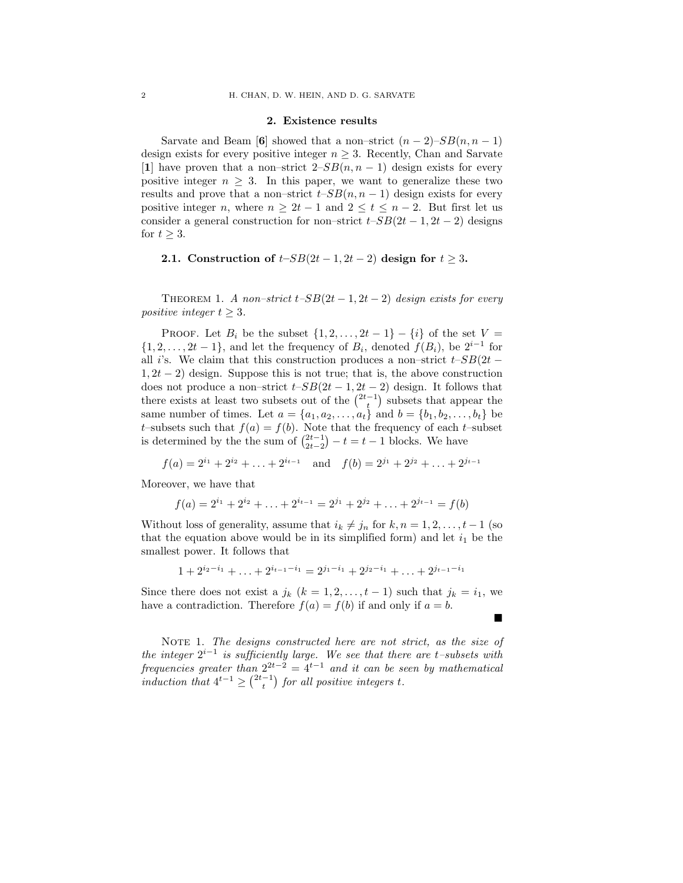### 2. Existence results

Sarvate and Beam [6] showed that a non–strict  $(n-2)$ – $SB(n, n-1)$ design exists for every positive integer  $n \geq 3$ . Recently, Chan and Sarvate [1] have proven that a non–strict  $2-SB(n, n-1)$  design exists for every positive integer  $n \geq 3$ . In this paper, we want to generalize these two results and prove that a non–strict  $t-SB(n, n-1)$  design exists for every positive integer n, where  $n \geq 2t - 1$  and  $2 \leq t \leq n - 2$ . But first let us consider a general construction for non–strict  $t$ – $SB(2t - 1, 2t - 2)$  designs for  $t \geq 3$ .

## 2.1. Construction of  $t$ – $SB(2t-1, 2t-2)$  design for  $t \geq 3$ .

THEOREM 1. A non–strict  $t$ – $SB(2t-1, 2t-2)$  design exists for every positive integer  $t \geq 3$ .

PROOF. Let  $B_i$  be the subset  $\{1, 2, \ldots, 2t - 1\} - \{i\}$  of the set  $V =$  $\{1, 2, \ldots, 2t - 1\}$ , and let the frequency of  $B_i$ , denoted  $f(B_i)$ , be  $2^{i-1}$  for all i's. We claim that this construction produces a non–strict  $t$ – $SB(2t 1, 2t - 2$ ) design. Suppose this is not true; that is, the above construction does not produce a non–strict  $t$ – $SB(2t - 1, 2t - 2)$  design. It follows that there exists at least two subsets out of the  $\binom{2t-1}{t}$  subsets that appear the same number of times. Let  $a = \{a_1, a_2, ..., a_t\}$  and  $b = \{b_1, b_2, ..., b_t\}$  be t–subsets such that  $f(a) = f(b)$ . Note that the frequency of each t–subset is determined by the the sum of  $\binom{2t-1}{2t-2} - t = t - 1$  blocks. We have

$$
f(a) = 2^{i_1} + 2^{i_2} + \ldots + 2^{i_{t-1}}
$$
 and  $f(b) = 2^{j_1} + 2^{j_2} + \ldots + 2^{j_{t-1}}$ 

Moreover, we have that

$$
f(a) = 2^{i_1} + 2^{i_2} + \ldots + 2^{i_{t-1}} = 2^{j_1} + 2^{j_2} + \ldots + 2^{j_{t-1}} = f(b)
$$

Without loss of generality, assume that  $i_k \neq j_n$  for  $k, n = 1, 2, \ldots, t - 1$  (so that the equation above would be in its simplified form) and let  $i_1$  be the smallest power. It follows that

$$
1 + 2^{i_2 - i_1} + \ldots + 2^{i_{t-1} - i_1} = 2^{j_1 - i_1} + 2^{j_2 - i_1} + \ldots + 2^{j_{t-1} - i_1}
$$

Since there does not exist a  $j_k$   $(k = 1, 2, \ldots, t - 1)$  such that  $j_k = i_1$ , we have a contradiction. Therefore  $f(a) = f(b)$  if and only if  $a = b$ .  $\blacksquare$ 

NOTE 1. The designs constructed here are not strict, as the size of the integer  $2^{i-1}$  is sufficiently large. We see that there are t–subsets with frequencies greater than  $2^{2t-2} = 4^{t-1}$  and it can be seen by mathematical induction that  $4^{t-1} \geq {2t-1 \choose t}$  for all positive integers t.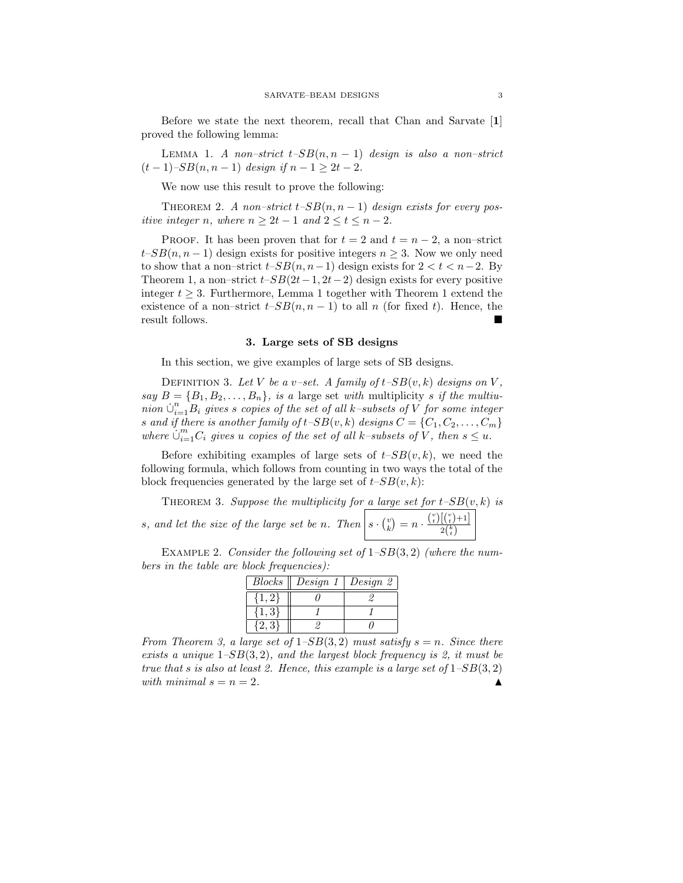Before we state the next theorem, recall that Chan and Sarvate [1] proved the following lemma:

LEMMA 1. A non–strict  $t-SB(n, n - 1)$  design is also a non–strict  $(t-1)$ –SB $(n, n-1)$  design if  $n-1 > 2t-2$ .

We now use this result to prove the following:

THEOREM 2. A non–strict  $t$ – $SB(n, n-1)$  design exists for every positive integer n, where  $n \geq 2t - 1$  and  $2 \leq t \leq n - 2$ .

PROOF. It has been proven that for  $t = 2$  and  $t = n - 2$ , a non-strict  $t-SB(n, n-1)$  design exists for positive integers  $n > 3$ . Now we only need to show that a non–strict  $t$ – $SB(n, n-1)$  design exists for  $2 < t < n-2$ . By Theorem 1, a non–strict  $t$ – $SB(2t-1, 2t-2)$  design exists for every positive integer  $t \geq 3$ . Furthermore, Lemma 1 together with Theorem 1 extend the existence of a non–strict  $t-SB(n, n-1)$  to all n (for fixed t). Hence, the result follows.

### 3. Large sets of SB designs

In this section, we give examples of large sets of SB designs.

DEFINITION 3. Let V be a v–set. A family of  $t$ – $SB(v, k)$  designs on V, say  $B = \{B_1, B_2, \ldots, B_n\}$ , is a large set with multiplicity s if the multiunion  $\bigcup_{i=1}^n B_i$  gives s copies of the set of all k–subsets of V for some integer s and if there is another family of  $t$ -SB $(v, k)$  designs  $C = \{C_1, C_2, \ldots, C_m\}$ where  $\dot{\cup}_{i=1}^m C_i$  gives u copies of the set of all k–subsets of V, then  $s \leq u$ .

Before exhibiting examples of large sets of  $t-SB(v, k)$ , we need the following formula, which follows from counting in two ways the total of the block frequencies generated by the large set of  $t$ – $SB(v, k)$ :

THEOREM 3. Suppose the multiplicity for a large set for  $t$ -SB $(v, k)$  is s, and let the size of the large set be n. Then  $s \cdot {v \choose k} = n \cdot \frac{{v \choose t} [{v \choose t}+1]}{2^{k \choose k}}$  $2{k \choose t}$ 

EXAMPLE 2. Consider the following set of  $1-SB(3, 2)$  (where the numbers in the table are block frequencies):

| Blocks | Design $1 \mid$ | Design 2 |
|--------|-----------------|----------|
|        |                 |          |
|        |                 |          |
|        |                 |          |

From Theorem 3, a large set of  $1-SB(3,2)$  must satisfy  $s=n$ . Since there exists a unique  $1-SB(3,2)$ , and the largest block frequency is 2, it must be true that s is also at least 2. Hence, this example is a large set of  $1-SB(3,2)$ with minimal  $s = n = 2$ .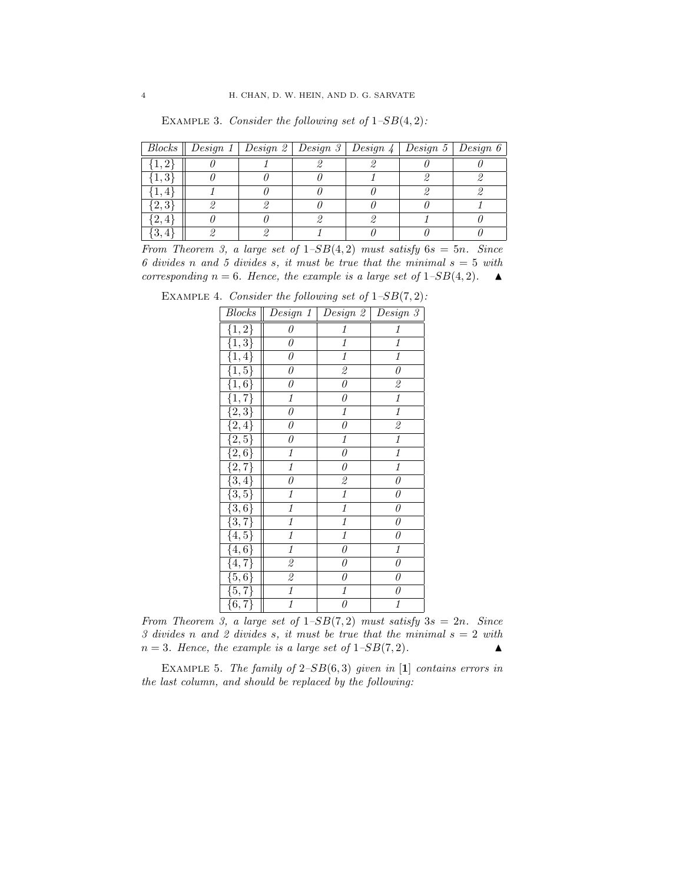|                    | Blocks    Design 1   Design 2   Design 3   Design 4   Design 5   Design 6 |  |  |  |
|--------------------|---------------------------------------------------------------------------|--|--|--|
|                    |                                                                           |  |  |  |
|                    |                                                                           |  |  |  |
|                    |                                                                           |  |  |  |
| $\left[2,3\right]$ |                                                                           |  |  |  |
| 2,4                |                                                                           |  |  |  |
|                    |                                                                           |  |  |  |

EXAMPLE 3. Consider the following set of  $1-SB(4,2)$ :

From Theorem 3, a large set of  $1-SB(4,2)$  must satisfy  $6s = 5n$ . Since 6 divides n and 5 divides s, it must be true that the minimal  $s = 5$  with corresponding  $n = 6$ . Hence, the example is a large set of  $1-SB(4, 2)$ .

EXAMPLE 4. Consider the following set of  $1-SB(7,2)$ :

| Blocks                                                                                                                                                                                                             |                          | Design 1   Design 2                                       | Design 3                  |
|--------------------------------------------------------------------------------------------------------------------------------------------------------------------------------------------------------------------|--------------------------|-----------------------------------------------------------|---------------------------|
| $\{1,2\}$                                                                                                                                                                                                          | 0                        | $\it 1$                                                   | $\it 1$                   |
| $\overline{\{1,3\}\atop{\{1,4\}}}$                                                                                                                                                                                 | 0                        | $\it 1$                                                   | $\it 1$                   |
|                                                                                                                                                                                                                    | $\theta$                 | $\overline{\mathbf{1}}$                                   | $\overline{\mathbf{1}}$   |
| $\{1, 5\}$                                                                                                                                                                                                         | $\theta$                 | $\mathcal{Q}% _{M_{1},M_{2}}^{\alpha,\beta}(\varepsilon)$ | $\overline{\theta}$       |
| $\{1,6\}$                                                                                                                                                                                                          | 0                        | $\theta$                                                  | $\overline{\mathcal{Z}}$  |
| $\begin{array}{l} \overline{\{1,7\}}\ \overline{\{2,3\}}\ \overline{\{2,4\}}\ \overline{\{2,4\}}\ \overline{\{2,5\}}\ \overline{\{2,6\}}\ \overline{\{2,7\}}\ \overline{\{3,4\}}\ \overline{\{3,5\}}\ \end{array}$ | $\it 1$                  | $\overline{\theta}$                                       | $\overline{\mathfrak{1}}$ |
|                                                                                                                                                                                                                    | $\overline{\theta}$      | $\overline{\mathbf{1}}$                                   | $\overline{\mathbf{1}}$   |
|                                                                                                                                                                                                                    | $\theta$                 | $\overline{\theta}$                                       | $\overline{\mathcal{Z}}$  |
|                                                                                                                                                                                                                    | $\theta$                 | $\overline{\mathbf{1}}$                                   | $\overline{\mathbf{1}}$   |
|                                                                                                                                                                                                                    | $\overline{\mathbf{1}}$  | $\overline{\theta}$                                       | $\overline{1}$            |
|                                                                                                                                                                                                                    | $\overline{\mathbf{1}}$  | $\overline{\theta}$                                       | $\overline{\mathbf{1}}$   |
|                                                                                                                                                                                                                    | $\theta$                 | $\mathbf{2}$                                              | $\theta$                  |
|                                                                                                                                                                                                                    | $\overline{\mathbf{1}}$  | $\overline{1}$                                            | $\overline{\theta}$       |
| $\{3,6\}$                                                                                                                                                                                                          | $\overline{\mathbf{1}}$  | $\overline{1}$                                            | $\theta$                  |
| $\frac{\{3,7\}}{\{4,5\}}$                                                                                                                                                                                          | $\it 1$                  | 1                                                         | $\theta$                  |
|                                                                                                                                                                                                                    | $\overline{\mathbf{1}}$  | $\overline{\mathbf{1}}$                                   | $\theta$                  |
| $\{4, 6\}$                                                                                                                                                                                                         | $\overline{\mathbf{1}}$  | $\theta$                                                  | $\overline{\mathbf{1}}$   |
| $\{4, 7\}$                                                                                                                                                                                                         | $\mathfrak{\mathcal{Q}}$ | $\theta$                                                  | $\theta$                  |
| $\overline{\{5,6\}}$                                                                                                                                                                                               | $\mathscr{Q}$            | $\overline{\theta}$                                       | $\theta$                  |
| $\frac{1}{\{5,7\}}$                                                                                                                                                                                                | $\overline{1}$           | $\overline{1}$                                            | $\overline{\theta}$       |
| $\{6, 7\}$                                                                                                                                                                                                         | $\overline{\mathbf{1}}$  | $\overline{\theta}$                                       | $\overline{\mathbf{1}}$   |

From Theorem 3, a large set of  $1-SB(7,2)$  must satisfy  $3s = 2n$ . Since 3 divides n and 2 divides s, it must be true that the minimal  $s = 2$  with  $n = 3$ . Hence, the example is a large set of  $1-SB(7, 2)$ .

EXAMPLE 5. The family of  $2-SB(6,3)$  given in [1] contains errors in the last column, and should be replaced by the following: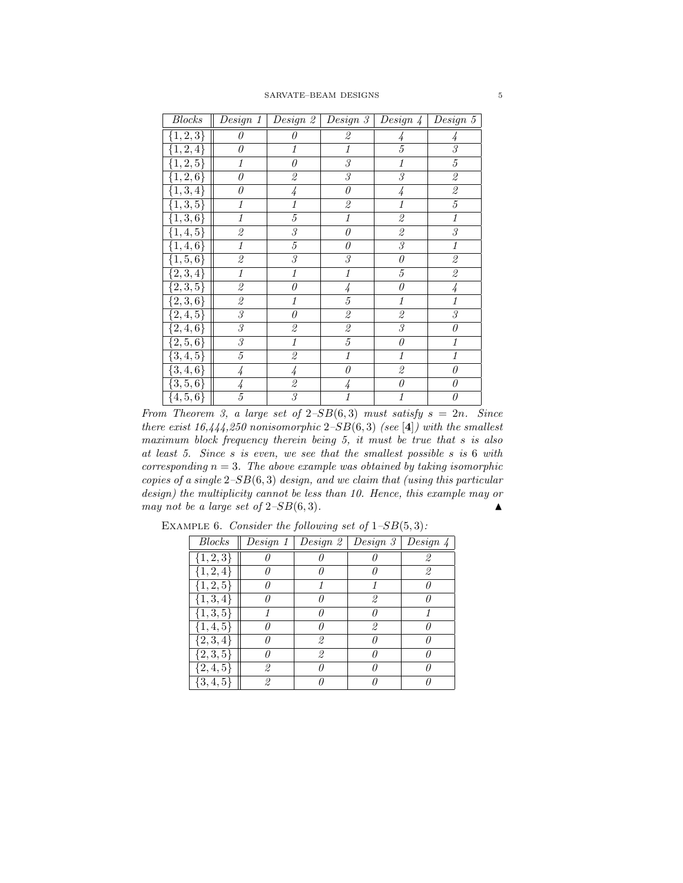| Blocks                 | $\parallel$ Design 1   Design 2   Design 3   Design 4   Design 5 |                                                           |                                                           |                                                           |                                                           |
|------------------------|------------------------------------------------------------------|-----------------------------------------------------------|-----------------------------------------------------------|-----------------------------------------------------------|-----------------------------------------------------------|
| $\{1, 2, 3\}$          | $\theta$                                                         | $\theta$                                                  | $\mathcal{Q}% _{M_{1},M_{2}}^{\alpha,\beta}(\varepsilon)$ | 4                                                         | 4                                                         |
| $\{1, 2, 4\}$          | $\theta$                                                         | $\it 1$                                                   | $\overline{\mathbf{1}}$                                   | $\overline{5}$                                            | $\overline{\mathcal{S}}$                                  |
| $\{1, 2, 5\}$          | $\mathcal{I}$                                                    | $\theta$                                                  | $\overline{\mathcal{S}}$                                  | 1                                                         | $\sqrt{5}$                                                |
| $\overline{\{1,2,6\}}$ | $\theta$                                                         | $\mathcal{Q}% _{M_{1},M_{2}}^{\alpha,\beta}(\varepsilon)$ | $\overline{\mathcal{S}}$                                  | 3                                                         | $\mathcal{Q}% _{M_{1},M_{2}}^{\alpha,\beta}(\varepsilon)$ |
| $\overline{\{1,3,4\}}$ | 0                                                                | $\overline{4}$                                            | $\overline{\theta}$                                       | 4                                                         | $\mathcal{Q}% _{M_{1},M_{2}}^{\alpha,\beta}(\varepsilon)$ |
| $\overline{\{1,3,5\}}$ | $\it 1$                                                          | $\overline{\mathfrak{1}}$                                 | $\overline{\mathcal{Z}}$                                  | $\overline{1}$                                            | $\overline{5}$                                            |
| $\{1,3,6\}$            | $\it 1$                                                          | $\sqrt{5}$                                                | $\it 1$                                                   | $\mathcal{Q}% _{M_{1},M_{2}}^{\alpha,\beta}(\varepsilon)$ | 1                                                         |
| $\overline{\{1,4,5\}}$ | $\mathcal{Q}% _{M_{1},M_{2}}^{\alpha,\beta}(\varepsilon)$        | $\mathcal S$                                              | 0                                                         | $\mathcal{Q}% _{M_{1},M_{2}}^{\alpha,\beta}(\varepsilon)$ | $\mathcal S$                                              |
| $\overline{\{1,4,6\}}$ | $\mathbf{1}$                                                     | $\sqrt{5}$                                                | $\theta$                                                  | $\boldsymbol{\beta}$                                      | $\it 1$                                                   |
| $\{\overline{1,5,6\}}$ | $\mathcal{Q}% _{M_{1},M_{2}}^{\alpha,\beta}(\varepsilon)$        | $\overline{\mathcal{S}}$                                  | $\overline{\mathcal{S}}$                                  | $\boldsymbol{\theta}$                                     | $\mathcal{Q}% _{M_{1},M_{2}}^{\alpha,\beta}(\varepsilon)$ |
| $\overline{\{2,3,4\}}$ | $\it 1$                                                          | $\it 1$                                                   | $\it 1$                                                   | $\sqrt{5}$                                                | $\it 2$                                                   |
| $\overline{\{2,3,5\}}$ | $\mathcal{Q}% _{M_{1},M_{2}}^{\alpha,\beta}(\varepsilon)$        | $\boldsymbol{\theta}$                                     | 4                                                         | $\theta$                                                  | 4                                                         |
| $\overline{\{2,3,6\}}$ | $\mathcal{Q}% _{M_{1},M_{2}}^{\alpha,\beta}(\varepsilon)$        | $\it 1$                                                   | $\overline{5}$                                            | $\it 1$                                                   | $\it 1$                                                   |
| $\overline{\{2,4,5\}}$ | $\overline{\mathcal{S}}$                                         | $\boldsymbol{\theta}$                                     | $\overline{\mathbf{2}}$                                   | $\mathcal{Q}% _{M_{1},M_{2}}^{\alpha,\beta}(\varepsilon)$ | $\overline{\mathcal{S}}$                                  |
| $\overline{\{2,4,6\}}$ | $\mathcal S$                                                     | $\mathcal{Q}% _{M_{1},M_{2}}^{\alpha,\beta}(\varepsilon)$ | $\overline{\mathbf{2}}$                                   | $\mathcal{S}% _{M_{1},M_{2}}^{\alpha,\beta}(\varepsilon)$ | $\theta$                                                  |
| $\overline{\{2,5,6\}}$ | $\mathcal S$                                                     | 1                                                         | $\overline{5}$                                            | $\theta$                                                  | 1                                                         |
| $\overline{\{3,4,5\}}$ | $\sqrt{5}$                                                       | $\mathcal{Q}% _{M_{1},M_{2}}^{\alpha,\beta}(\varepsilon)$ | $\overline{1}$                                            | 1                                                         | $\it 1$                                                   |
| $\overline{\{3,4,6\}}$ | 4                                                                | 4                                                         | $\theta$                                                  | 2                                                         | 0                                                         |
| $\overline{\{3,5,6\}}$ | 4                                                                | $\it 2$                                                   | $\frac{1}{4}$                                             | $\boldsymbol{\theta}$                                     | $\theta$                                                  |
| $\overline{\{4,5,6\}}$ | $\overline{5}$                                                   | $\overline{\mathcal{S}}$                                  | $\overline{1}$                                            | $\it 1$                                                   | 0                                                         |

From Theorem 3, a large set of  $2-SB(6,3)$  must satisfy  $s = 2n$ . Since there exist  $16,444,250$  nonisomorphic  $2-SB(6,3)$  (see [4]) with the smallest maximum block frequency therein being 5, it must be true that s is also at least 5. Since s is even, we see that the smallest possible s is 6 with corresponding  $n = 3$ . The above example was obtained by taking isomorphic copies of a single  $2-SB(6,3)$  design, and we claim that (using this particular design) the multiplicity cannot be less than 10. Hence, this example may or may not be a large set of  $2-SB(6,3)$ .

| <b>Blocks</b> | Design 1 | $\mid$ Design 2 | Design 3 | Design $\downarrow$ |
|---------------|----------|-----------------|----------|---------------------|
| $\{1, 2, 3\}$ |          |                 |          |                     |
| $\{1, 2, 4\}$ |          |                 |          | 2                   |
| $\{1, 2, 5\}$ |          |                 |          |                     |
| $\{1, 3, 4\}$ |          |                 | 2        |                     |
| $\{1, 3, 5\}$ |          |                 |          |                     |
| $\{1, 4, 5\}$ |          |                 | 2        |                     |
| ${2,3,4}$     |          | 2               |          |                     |
| $\{2,3,5\}$   |          | 2               |          |                     |
| $\{2, 4, 5\}$ | 2        |                 |          |                     |
| $\{3, 4, 5\}$ | 2        |                 |          |                     |

EXAMPLE 6. Consider the following set of  $1-SB(5,3)$ :